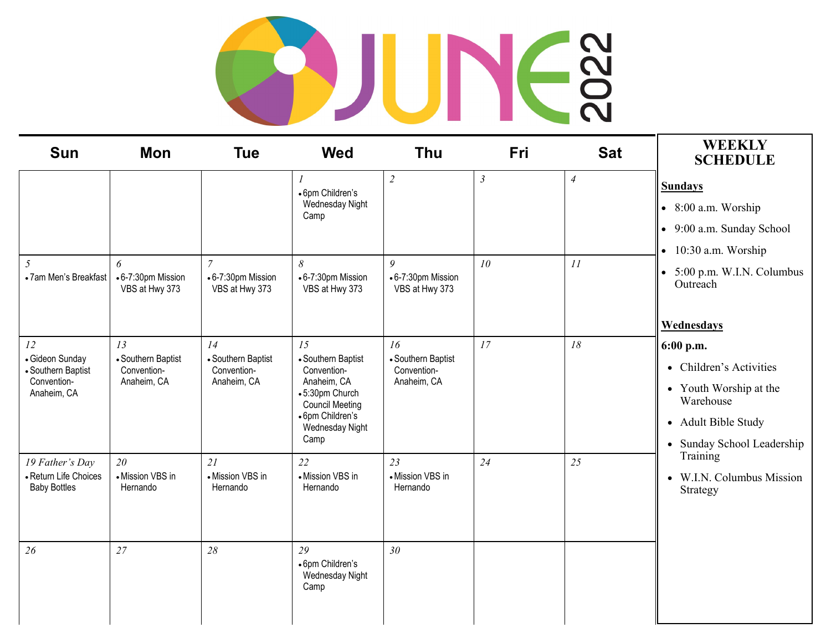## SOUNE?

| <b>Sun</b>                                                                | <b>Mon</b>                                             | <b>Tue</b>                                             | <b>Wed</b>                                                                                                                                        | <b>Thu</b>                                             | Fri             | <b>Sat</b>     | <b>WEEKLY</b><br><b>SCHEDULE</b>                                                                                                                                                      |
|---------------------------------------------------------------------------|--------------------------------------------------------|--------------------------------------------------------|---------------------------------------------------------------------------------------------------------------------------------------------------|--------------------------------------------------------|-----------------|----------------|---------------------------------------------------------------------------------------------------------------------------------------------------------------------------------------|
|                                                                           |                                                        |                                                        | 1<br>• 6pm Children's<br>Wednesday Night<br>Camp                                                                                                  | $\overline{2}$                                         | $\mathfrak{Z}$  | $\overline{4}$ | <b>Sundays</b><br>$\bullet$ 8:00 a.m. Worship<br>• 9:00 a.m. Sunday School<br>$\bullet$ 10:30 a.m. Worship                                                                            |
| 5<br>• 7am Men's Breakfast                                                | 6<br>• 6-7:30pm Mission<br>VBS at Hwy 373              | $\overline{7}$<br>•6-7:30pm Mission<br>VBS at Hwy 373  | 8<br>• 6-7:30pm Mission<br>VBS at Hwy 373                                                                                                         | 9<br>• 6-7:30pm Mission<br>VBS at Hwy 373              | 10 <sup>°</sup> | 11             | $\bullet$ 5:00 p.m. W.I.N. Columbus<br>Outreach<br>Wednesdays                                                                                                                         |
| 12<br>• Gideon Sunday<br>• Southern Baptist<br>Convention-<br>Anaheim, CA | 13<br>• Southern Baptist<br>Convention-<br>Anaheim, CA | 14<br>• Southern Baptist<br>Convention-<br>Anaheim, CA | 15<br>• Southern Baptist<br>Convention-<br>Anaheim, CA<br>•5:30pm Church<br><b>Council Meeting</b><br>• 6pm Children's<br>Wednesday Night<br>Camp | 16<br>• Southern Baptist<br>Convention-<br>Anaheim, CA | 17              | 18             | 6:00 p.m.<br>• Children's Activities<br>• Youth Worship at the<br>Warehouse<br>• Adult Bible Study<br>• Sunday School Leadership<br>Training<br>• W.I.N. Columbus Mission<br>Strategy |
| 19 Father's Day<br>- Return Life Choices<br><b>Baby Bottles</b>           | 20<br>• Mission VBS in<br>Hernando                     | 21<br>• Mission VBS in<br>Hernando                     | 22<br>• Mission VBS in<br>Hernando                                                                                                                | 23<br>• Mission VBS in<br>Hernando                     | 24              | 25             |                                                                                                                                                                                       |
| 26                                                                        | 27                                                     | 28                                                     | 29<br>• 6pm Children's<br>Wednesday Night<br>Camp                                                                                                 | 30 <sup>°</sup>                                        |                 |                |                                                                                                                                                                                       |